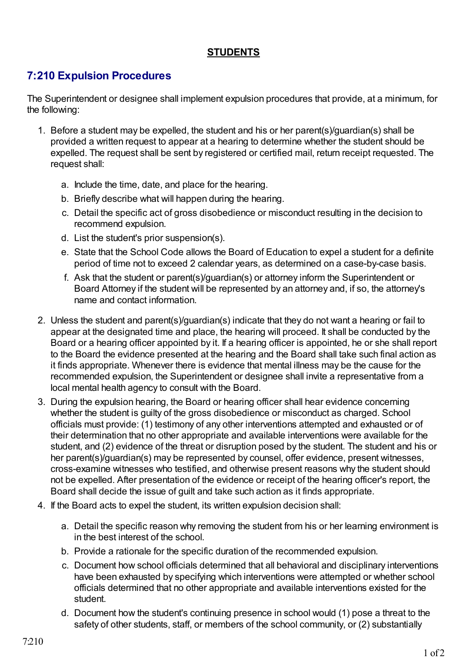## **STUDENTS**

## **7:210 Expulsion Procedures**

The Superintendent or designee shall implement expulsion procedures that provide, at a minimum, for the following:

- 1. Before a student may be expelled, the student and his or her parent(s)/guardian(s) shall be provided a written request to appear at a hearing to determine whether the student should be expelled. The request shall be sent by registered or certified mail, return receipt requested. The request shall:
	- a. Include the time, date, and place for the hearing.
	- b. Briefly describe what will happen during the hearing.
	- c. Detail the specific act of gross disobedience or misconduct resulting in the decision to recommend expulsion.
	- d. List the student's prior suspension(s).
	- e. State that the School Code allows the Board of Education to expel a student for a definite period of time not to exceed 2 calendar years, as determined on a case-by-case basis.
	- f. Ask that the student or parent(s)/guardian(s) or attorney inform the Superintendent or Board Attorney if the student will be represented by an attorney and, if so, the attorney's name and contact information.
- 2. Unless the student and parent(s)/guardian(s) indicate that they do not want a hearing or fail to appear at the designated time and place, the hearing will proceed. It shall be conducted by the Board or a hearing officer appointed by it. If a hearing officer is appointed, he or she shall report to the Board the evidence presented at the hearing and the Board shall take such final action as it finds appropriate. Whenever there is evidence that mental illness may be the cause for the recommended expulsion, the Superintendent or designee shall invite a representative from a local mental health agency to consult with the Board.
- 3. During the expulsion hearing, the Board or hearing officer shall hear evidence concerning whether the student is guilty of the gross disobedience or misconduct as charged. School officials must provide: (1) testimony of any other interventions attempted and exhausted or of their determination that no other appropriate and available interventions were available for the student, and (2) evidence of the threat or disruption posed by the student. The student and his or her parent(s)/guardian(s) may be represented by counsel, offer evidence, present witnesses, cross-examine witnesses who testified, and otherwise present reasons why the student should not be expelled. After presentation of the evidence or receipt of the hearing officer's report, the Board shall decide the issue of guilt and take such action as it finds appropriate.
- 4. If the Board acts to expel the student, its written expulsion decision shall:
	- a. Detail the specific reason why removing the student from his or her learning environment is in the best interest of the school.
	- b. Provide a rationale for the specific duration of the recommended expulsion.
	- c. Document how school officials determined that all behavioral and disciplinary interventions have been exhausted by specifying which interventions were attempted or whether school officials determined that no other appropriate and available interventions existed for the student.
	- d. Document how the student's continuing presence in school would (1) pose a threat to the safety of other students, staff, or members of the school community, or (2) substantially